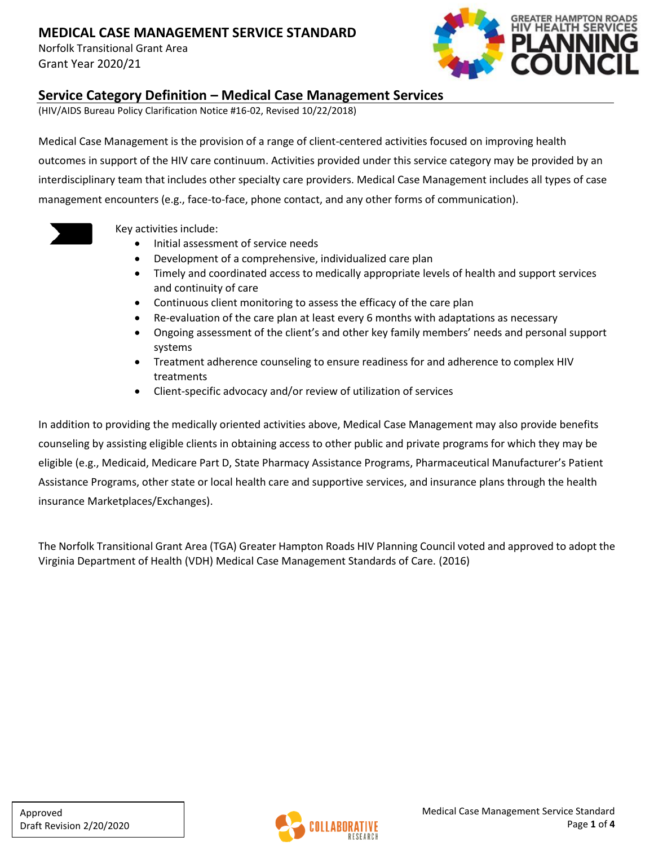Norfolk Transitional Grant Area Grant Year 2020/21



#### **Service Category Definition – Medical Case Management Services**

(HIV/AIDS Bureau Policy Clarification Notice #16-02, Revised 10/22/2018)

Medical Case Management is the provision of a range of client-centered activities focused on improving health outcomes in support of the HIV care continuum. Activities provided under this service category may be provided by an interdisciplinary team that includes other specialty care providers. Medical Case Management includes all types of case management encounters (e.g., face-to-face, phone contact, and any other forms of communication).



Key activities include:

- Initial assessment of service needs
- Development of a comprehensive, individualized care plan
- Timely and coordinated access to medically appropriate levels of health and support services and continuity of care
- Continuous client monitoring to assess the efficacy of the care plan
- Re-evaluation of the care plan at least every 6 months with adaptations as necessary
- Ongoing assessment of the client's and other key family members' needs and personal support systems
- Treatment adherence counseling to ensure readiness for and adherence to complex HIV treatments
- Client-specific advocacy and/or review of utilization of services

In addition to providing the medically oriented activities above, Medical Case Management may also provide benefits counseling by assisting eligible clients in obtaining access to other public and private programs for which they may be eligible (e.g., Medicaid, Medicare Part D, State Pharmacy Assistance Programs, Pharmaceutical Manufacturer's Patient Assistance Programs, other state or local health care and supportive services, and insurance plans through the health insurance Marketplaces/Exchanges).

The Norfolk Transitional Grant Area (TGA) Greater Hampton Roads HIV Planning Council voted and approved to adopt the Virginia Department of Health (VDH) Medical Case Management Standards of Care. (2016)

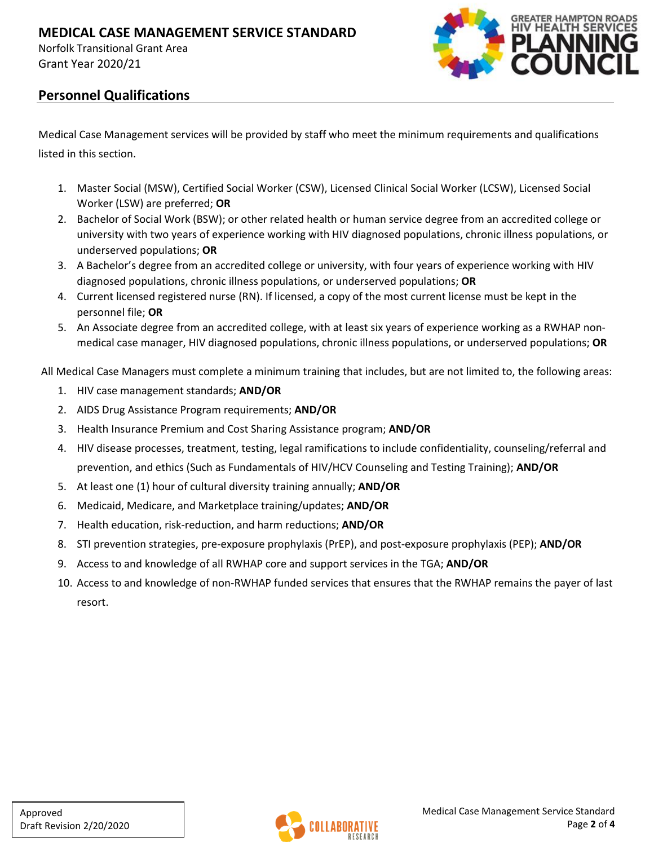Norfolk Transitional Grant Area Grant Year 2020/21



#### **Personnel Qualifications**

Medical Case Management services will be provided by staff who meet the minimum requirements and qualifications listed in this section.

- 1. Master Social (MSW), Certified Social Worker (CSW), Licensed Clinical Social Worker (LCSW), Licensed Social Worker (LSW) are preferred; **OR**
- 2. Bachelor of Social Work (BSW); or other related health or human service degree from an accredited college or university with two years of experience working with HIV diagnosed populations, chronic illness populations, or underserved populations; **OR**
- 3. A Bachelor's degree from an accredited college or university, with four years of experience working with HIV diagnosed populations, chronic illness populations, or underserved populations; **OR**
- 4. Current licensed registered nurse (RN). If licensed, a copy of the most current license must be kept in the personnel file; **OR**
- 5. An Associate degree from an accredited college, with at least six years of experience working as a RWHAP nonmedical case manager, HIV diagnosed populations, chronic illness populations, or underserved populations; **OR**

All Medical Case Managers must complete a minimum training that includes, but are not limited to, the following areas:

- 1. HIV case management standards; **AND/OR**
- 2. AIDS Drug Assistance Program requirements; **AND/OR**
- 3. Health Insurance Premium and Cost Sharing Assistance program; **AND/OR**
- 4. HIV disease processes, treatment, testing, legal ramifications to include confidentiality, counseling/referral and prevention, and ethics (Such as Fundamentals of HIV/HCV Counseling and Testing Training); **AND/OR**
- 5. At least one (1) hour of cultural diversity training annually; **AND/OR**
- 6. Medicaid, Medicare, and Marketplace training/updates; **AND/OR**
- 7. Health education, risk-reduction, and harm reductions; **AND/OR**
- 8. STI prevention strategies, pre-exposure prophylaxis (PrEP), and post-exposure prophylaxis (PEP); **AND/OR**
- 9. Access to and knowledge of all RWHAP core and support services in the TGA; **AND/OR**
- 10. Access to and knowledge of non-RWHAP funded services that ensures that the RWHAP remains the payer of last resort.

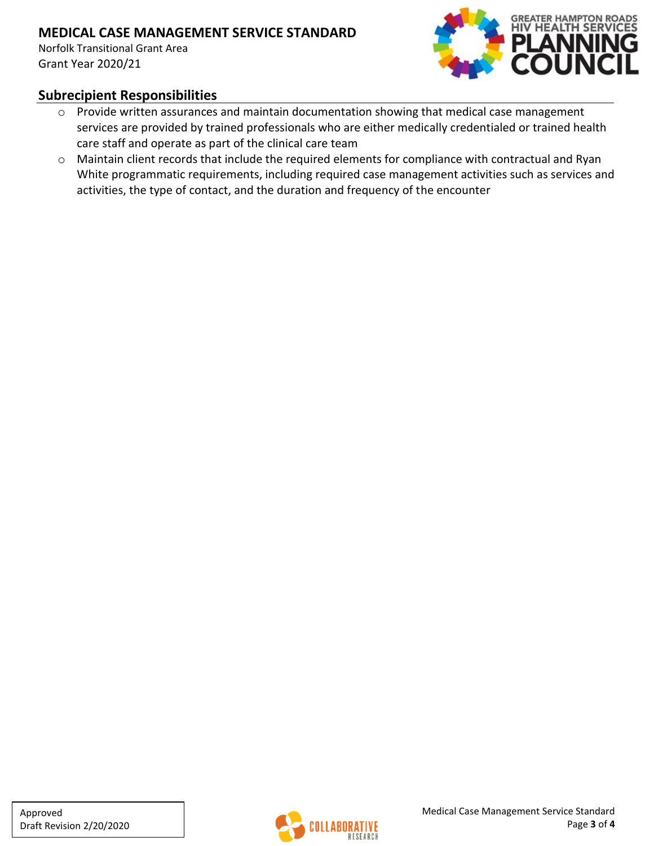Norfolk Transitional Grant Area Grant Year 2020/21



#### **Subrecipient Responsibilities**

- o Provide written assurances and maintain documentation showing that medical case management services are provided by trained professionals who are either medically credentialed or trained health care staff and operate as part of the clinical care team
- o Maintain client records that include the required elements for compliance with contractual and Ryan White programmatic requirements, including required case management activities such as services and activities, the type of contact, and the duration and frequency of the encounter